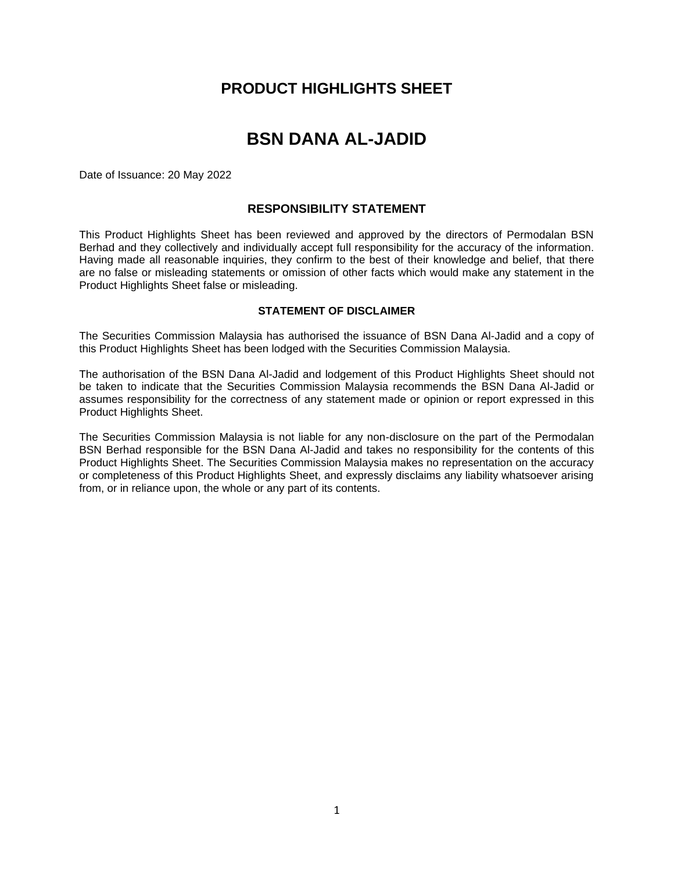## **PRODUCT HIGHLIGHTS SHEET**

# **BSN DANA AL-JADID**

Date of Issuance: 20 May 2022

### **RESPONSIBILITY STATEMENT**

This Product Highlights Sheet has been reviewed and approved by the directors of Permodalan BSN Berhad and they collectively and individually accept full responsibility for the accuracy of the information. Having made all reasonable inquiries, they confirm to the best of their knowledge and belief, that there are no false or misleading statements or omission of other facts which would make any statement in the Product Highlights Sheet false or misleading.

#### **STATEMENT OF DISCLAIMER**

The Securities Commission Malaysia has authorised the issuance of BSN Dana Al-Jadid and a copy of this Product Highlights Sheet has been lodged with the Securities Commission Malaysia.

The authorisation of the BSN Dana Al-Jadid and lodgement of this Product Highlights Sheet should not be taken to indicate that the Securities Commission Malaysia recommends the BSN Dana Al-Jadid or assumes responsibility for the correctness of any statement made or opinion or report expressed in this Product Highlights Sheet.

The Securities Commission Malaysia is not liable for any non-disclosure on the part of the Permodalan BSN Berhad responsible for the BSN Dana Al-Jadid and takes no responsibility for the contents of this Product Highlights Sheet. The Securities Commission Malaysia makes no representation on the accuracy or completeness of this Product Highlights Sheet, and expressly disclaims any liability whatsoever arising from, or in reliance upon, the whole or any part of its contents.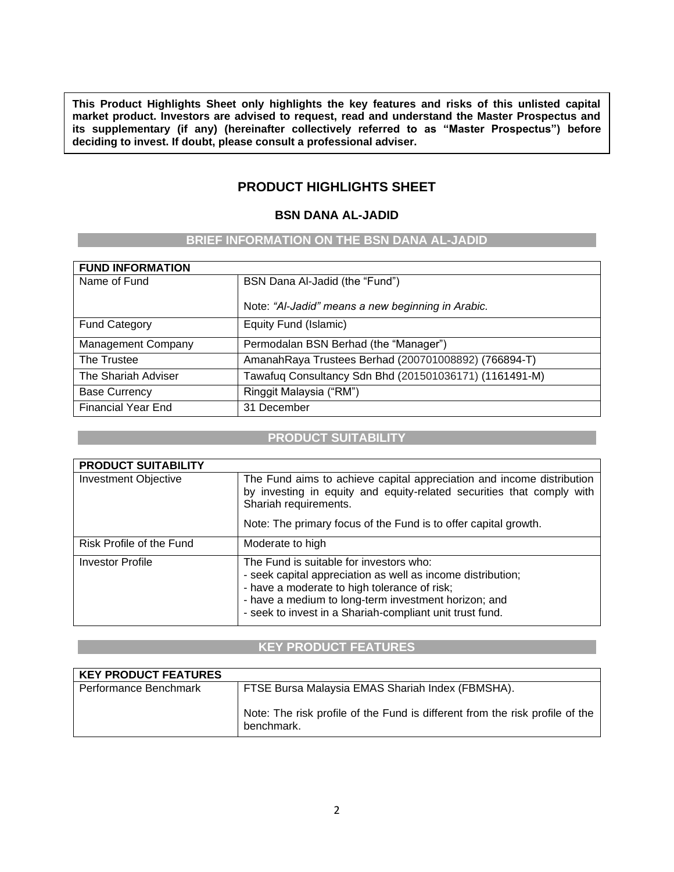**This Product Highlights Sheet only highlights the key features and risks of this unlisted capital market product. Investors are advised to request, read and understand the Master Prospectus and its supplementary (if any) (hereinafter collectively referred to as "Master Prospectus") before deciding to invest. If doubt, please consult a professional adviser.**

## **PRODUCT HIGHLIGHTS SHEET**

### **BSN DANA AL-JADID**

### **BRIEF INFORMATION ON THE BSN DANA AL-JADID**

| <b>FUND INFORMATION</b>   |                                                        |
|---------------------------|--------------------------------------------------------|
| Name of Fund              | BSN Dana Al-Jadid (the "Fund")                         |
|                           | Note: "Al-Jadid" means a new beginning in Arabic.      |
| <b>Fund Category</b>      | Equity Fund (Islamic)                                  |
| <b>Management Company</b> | Permodalan BSN Berhad (the "Manager")                  |
| The Trustee               | AmanahRaya Trustees Berhad (200701008892) (766894-T)   |
| The Shariah Adviser       | Tawafuq Consultancy Sdn Bhd (201501036171) (1161491-M) |
| <b>Base Currency</b>      | Ringgit Malaysia ("RM")                                |
| <b>Financial Year End</b> | 31 December                                            |

### **PRODUCT SUITABILITY**

| <b>PRODUCT SUITABILITY</b>  |                                                                                                                                                                                                                                                                            |
|-----------------------------|----------------------------------------------------------------------------------------------------------------------------------------------------------------------------------------------------------------------------------------------------------------------------|
| <b>Investment Objective</b> | The Fund aims to achieve capital appreciation and income distribution<br>by investing in equity and equity-related securities that comply with<br>Shariah requirements.<br>Note: The primary focus of the Fund is to offer capital growth.                                 |
|                             |                                                                                                                                                                                                                                                                            |
| Risk Profile of the Fund    | Moderate to high                                                                                                                                                                                                                                                           |
| <b>Investor Profile</b>     | The Fund is suitable for investors who:<br>- seek capital appreciation as well as income distribution;<br>- have a moderate to high tolerance of risk;<br>- have a medium to long-term investment horizon; and<br>- seek to invest in a Shariah-compliant unit trust fund. |

### **KEY PRODUCT FEATURES**

| <b>KEY PRODUCT FEATURES</b> |                                                                                            |
|-----------------------------|--------------------------------------------------------------------------------------------|
| Performance Benchmark       | FTSE Bursa Malaysia EMAS Shariah Index (FBMSHA).                                           |
|                             | Note: The risk profile of the Fund is different from the risk profile of the<br>benchmark. |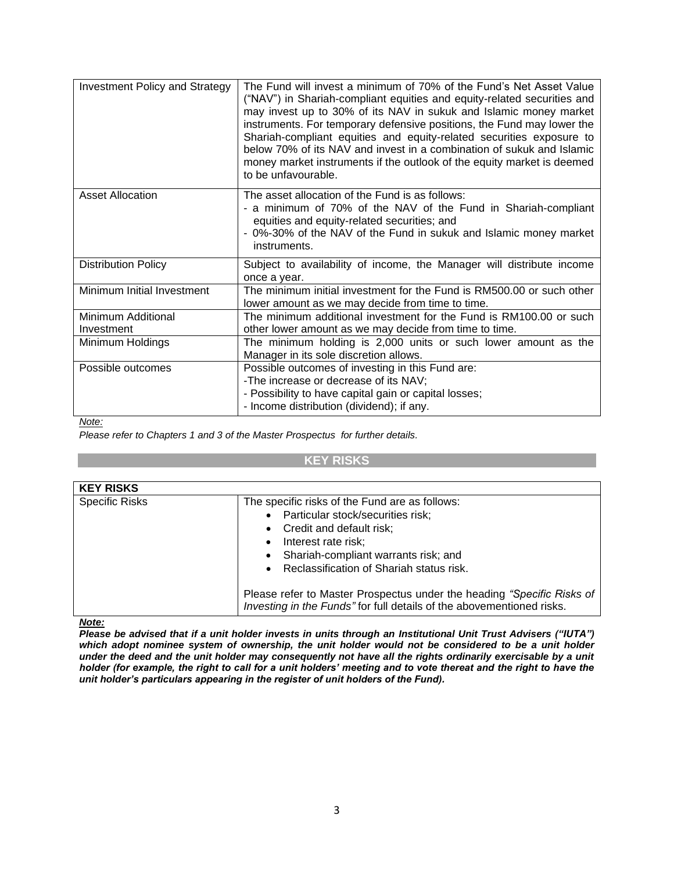| <b>Investment Policy and Strategy</b> | The Fund will invest a minimum of 70% of the Fund's Net Asset Value<br>("NAV") in Shariah-compliant equities and equity-related securities and<br>may invest up to 30% of its NAV in sukuk and Islamic money market<br>instruments. For temporary defensive positions, the Fund may lower the<br>Shariah-compliant equities and equity-related securities exposure to<br>below 70% of its NAV and invest in a combination of sukuk and Islamic<br>money market instruments if the outlook of the equity market is deemed<br>to be unfavourable. |
|---------------------------------------|-------------------------------------------------------------------------------------------------------------------------------------------------------------------------------------------------------------------------------------------------------------------------------------------------------------------------------------------------------------------------------------------------------------------------------------------------------------------------------------------------------------------------------------------------|
| <b>Asset Allocation</b>               | The asset allocation of the Fund is as follows:<br>- a minimum of 70% of the NAV of the Fund in Shariah-compliant<br>equities and equity-related securities; and<br>- 0%-30% of the NAV of the Fund in sukuk and Islamic money market<br>instruments.                                                                                                                                                                                                                                                                                           |
| <b>Distribution Policy</b>            | Subject to availability of income, the Manager will distribute income<br>once a year.                                                                                                                                                                                                                                                                                                                                                                                                                                                           |
| Minimum Initial Investment            | The minimum initial investment for the Fund is RM500.00 or such other<br>lower amount as we may decide from time to time.                                                                                                                                                                                                                                                                                                                                                                                                                       |
| Minimum Additional<br>Investment      | The minimum additional investment for the Fund is RM100.00 or such<br>other lower amount as we may decide from time to time.                                                                                                                                                                                                                                                                                                                                                                                                                    |
| Minimum Holdings                      | The minimum holding is 2,000 units or such lower amount as the<br>Manager in its sole discretion allows.                                                                                                                                                                                                                                                                                                                                                                                                                                        |
| Possible outcomes                     | Possible outcomes of investing in this Fund are:<br>-The increase or decrease of its NAV;<br>- Possibility to have capital gain or capital losses;<br>- Income distribution (dividend); if any.                                                                                                                                                                                                                                                                                                                                                 |

*Note:*

*Please refer to Chapters 1 and 3 of the Master Prospectus for further details.*

#### **KEY RISKS**

| <b>KEY RISKS</b>      |                                                                                                                                                                                                                                                                                                                                                                                         |
|-----------------------|-----------------------------------------------------------------------------------------------------------------------------------------------------------------------------------------------------------------------------------------------------------------------------------------------------------------------------------------------------------------------------------------|
| <b>Specific Risks</b> | The specific risks of the Fund are as follows:<br>• Particular stock/securities risk;<br>• Credit and default risk;<br>• Interest rate risk;<br>• Shariah-compliant warrants risk; and<br>• Reclassification of Shariah status risk.<br>Please refer to Master Prospectus under the heading "Specific Risks of<br>Investing in the Funds" for full details of the abovementioned risks. |

*Note:*

*Please be advised that if a unit holder invests in units through an Institutional Unit Trust Advisers ("IUTA") which adopt nominee system of ownership, the unit holder would not be considered to be a unit holder under the deed and the unit holder may consequently not have all the rights ordinarily exercisable by a unit holder (for example, the right to call for a unit holders' meeting and to vote thereat and the right to have the unit holder's particulars appearing in the register of unit holders of the Fund).*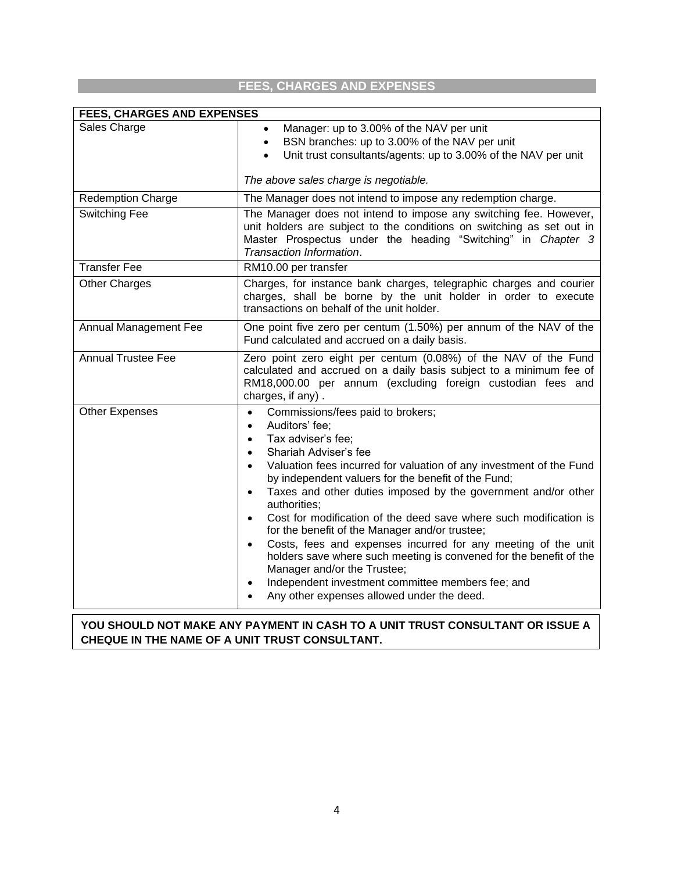## **FEES, CHARGES AND EXPENSES**

| <b>FEES, CHARGES AND EXPENSES</b> |                                                                                                                                                                                                                                                                                                                                                                                                                                                                                                                                                                                                                                                                                                                                                                                                                           |  |  |  |
|-----------------------------------|---------------------------------------------------------------------------------------------------------------------------------------------------------------------------------------------------------------------------------------------------------------------------------------------------------------------------------------------------------------------------------------------------------------------------------------------------------------------------------------------------------------------------------------------------------------------------------------------------------------------------------------------------------------------------------------------------------------------------------------------------------------------------------------------------------------------------|--|--|--|
| Sales Charge                      | Manager: up to 3.00% of the NAV per unit<br>BSN branches: up to 3.00% of the NAV per unit<br>$\bullet$<br>Unit trust consultants/agents: up to 3.00% of the NAV per unit                                                                                                                                                                                                                                                                                                                                                                                                                                                                                                                                                                                                                                                  |  |  |  |
|                                   | The above sales charge is negotiable.                                                                                                                                                                                                                                                                                                                                                                                                                                                                                                                                                                                                                                                                                                                                                                                     |  |  |  |
| <b>Redemption Charge</b>          | The Manager does not intend to impose any redemption charge.                                                                                                                                                                                                                                                                                                                                                                                                                                                                                                                                                                                                                                                                                                                                                              |  |  |  |
| Switching Fee                     | The Manager does not intend to impose any switching fee. However,<br>unit holders are subject to the conditions on switching as set out in<br>Master Prospectus under the heading "Switching" in Chapter 3<br>Transaction Information.                                                                                                                                                                                                                                                                                                                                                                                                                                                                                                                                                                                    |  |  |  |
| <b>Transfer Fee</b>               | RM10.00 per transfer                                                                                                                                                                                                                                                                                                                                                                                                                                                                                                                                                                                                                                                                                                                                                                                                      |  |  |  |
| <b>Other Charges</b>              | Charges, for instance bank charges, telegraphic charges and courier<br>charges, shall be borne by the unit holder in order to execute<br>transactions on behalf of the unit holder.                                                                                                                                                                                                                                                                                                                                                                                                                                                                                                                                                                                                                                       |  |  |  |
| Annual Management Fee             | One point five zero per centum (1.50%) per annum of the NAV of the<br>Fund calculated and accrued on a daily basis.                                                                                                                                                                                                                                                                                                                                                                                                                                                                                                                                                                                                                                                                                                       |  |  |  |
| <b>Annual Trustee Fee</b>         | Zero point zero eight per centum (0.08%) of the NAV of the Fund<br>calculated and accrued on a daily basis subject to a minimum fee of<br>RM18,000.00 per annum (excluding foreign custodian fees and<br>charges, if any).                                                                                                                                                                                                                                                                                                                                                                                                                                                                                                                                                                                                |  |  |  |
| <b>Other Expenses</b>             | Commissions/fees paid to brokers;<br>$\bullet$<br>Auditors' fee;<br>$\bullet$<br>Tax adviser's fee;<br>$\bullet$<br>Shariah Adviser's fee<br>$\bullet$<br>Valuation fees incurred for valuation of any investment of the Fund<br>$\bullet$<br>by independent valuers for the benefit of the Fund;<br>Taxes and other duties imposed by the government and/or other<br>$\bullet$<br>authorities;<br>Cost for modification of the deed save where such modification is<br>for the benefit of the Manager and/or trustee;<br>Costs, fees and expenses incurred for any meeting of the unit<br>$\bullet$<br>holders save where such meeting is convened for the benefit of the<br>Manager and/or the Trustee;<br>Independent investment committee members fee; and<br>$\bullet$<br>Any other expenses allowed under the deed. |  |  |  |

### **YOU SHOULD NOT MAKE ANY PAYMENT IN CASH TO A UNIT TRUST CONSULTANT OR ISSUE A CHEQUE IN THE NAME OF A UNIT TRUST CONSULTANT.**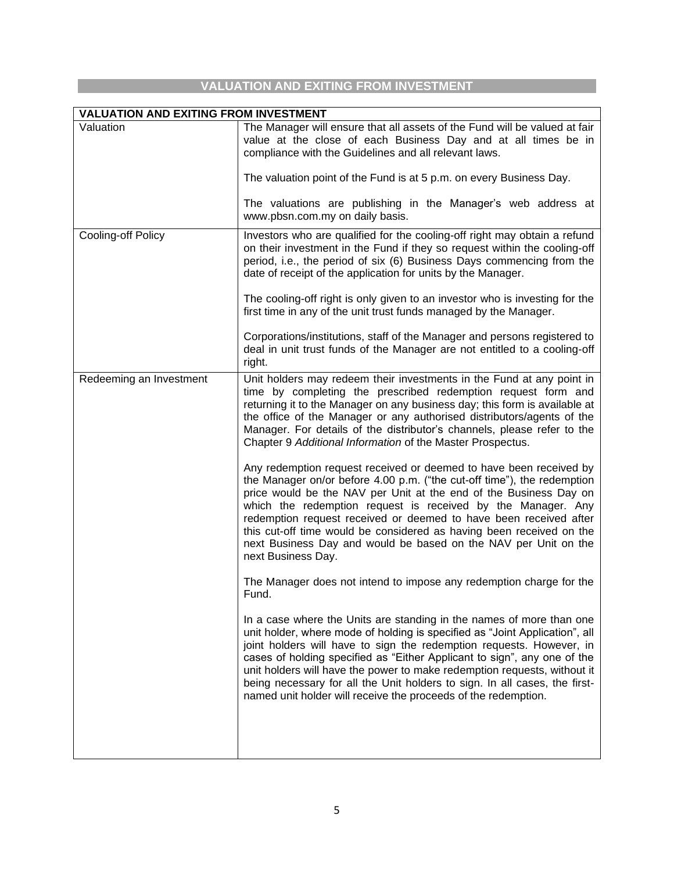## **VALUATION AND EXITING FROM INVESTMENT**

**Contract Contract** 

| <b>VALUATION AND EXITING FROM INVESTMENT</b> |                                                                                                                                                                                                                                                                                                                                                                                                                                                                                                                                     |  |  |  |  |
|----------------------------------------------|-------------------------------------------------------------------------------------------------------------------------------------------------------------------------------------------------------------------------------------------------------------------------------------------------------------------------------------------------------------------------------------------------------------------------------------------------------------------------------------------------------------------------------------|--|--|--|--|
| Valuation                                    | The Manager will ensure that all assets of the Fund will be valued at fair<br>value at the close of each Business Day and at all times be in<br>compliance with the Guidelines and all relevant laws.<br>The valuation point of the Fund is at 5 p.m. on every Business Day.                                                                                                                                                                                                                                                        |  |  |  |  |
|                                              | The valuations are publishing in the Manager's web address at<br>www.pbsn.com.my on daily basis.                                                                                                                                                                                                                                                                                                                                                                                                                                    |  |  |  |  |
| <b>Cooling-off Policy</b>                    | Investors who are qualified for the cooling-off right may obtain a refund<br>on their investment in the Fund if they so request within the cooling-off<br>period, i.e., the period of six (6) Business Days commencing from the<br>date of receipt of the application for units by the Manager.<br>The cooling-off right is only given to an investor who is investing for the                                                                                                                                                      |  |  |  |  |
|                                              | first time in any of the unit trust funds managed by the Manager.<br>Corporations/institutions, staff of the Manager and persons registered to<br>deal in unit trust funds of the Manager are not entitled to a cooling-off<br>right.                                                                                                                                                                                                                                                                                               |  |  |  |  |
| Redeeming an Investment                      | Unit holders may redeem their investments in the Fund at any point in<br>time by completing the prescribed redemption request form and<br>returning it to the Manager on any business day; this form is available at<br>the office of the Manager or any authorised distributors/agents of the<br>Manager. For details of the distributor's channels, please refer to the<br>Chapter 9 Additional Information of the Master Prospectus.                                                                                             |  |  |  |  |
|                                              | Any redemption request received or deemed to have been received by<br>the Manager on/or before 4.00 p.m. ("the cut-off time"), the redemption<br>price would be the NAV per Unit at the end of the Business Day on<br>which the redemption request is received by the Manager. Any<br>redemption request received or deemed to have been received after<br>this cut-off time would be considered as having been received on the<br>next Business Day and would be based on the NAV per Unit on the<br>next Business Day.            |  |  |  |  |
|                                              | The Manager does not intend to impose any redemption charge for the<br>Fund.                                                                                                                                                                                                                                                                                                                                                                                                                                                        |  |  |  |  |
|                                              | In a case where the Units are standing in the names of more than one<br>unit holder, where mode of holding is specified as "Joint Application", all<br>joint holders will have to sign the redemption requests. However, in<br>cases of holding specified as "Either Applicant to sign", any one of the<br>unit holders will have the power to make redemption requests, without it<br>being necessary for all the Unit holders to sign. In all cases, the first-<br>named unit holder will receive the proceeds of the redemption. |  |  |  |  |
|                                              |                                                                                                                                                                                                                                                                                                                                                                                                                                                                                                                                     |  |  |  |  |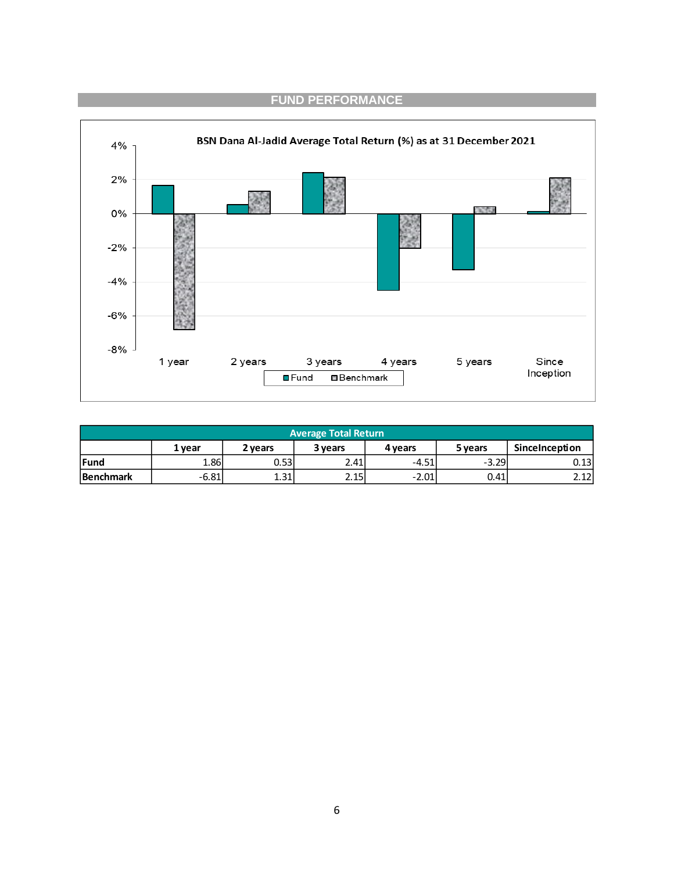

| <b>Average Total Return</b>                                            |                                                                      |      |      |         |         |       |  |
|------------------------------------------------------------------------|----------------------------------------------------------------------|------|------|---------|---------|-------|--|
|                                                                        | SinceInception<br>2 vears<br>3 years<br>5 years<br>4 years<br>1 vear |      |      |         |         |       |  |
| <b>Fund</b>                                                            | 1.86I                                                                | 0.53 | 2.41 | $-4.51$ | $-3.29$ | 0.131 |  |
| 2.15<br>$-2.01$<br>$-6.81$<br>1.31<br>2.12<br>0.41<br><b>Benchmark</b> |                                                                      |      |      |         |         |       |  |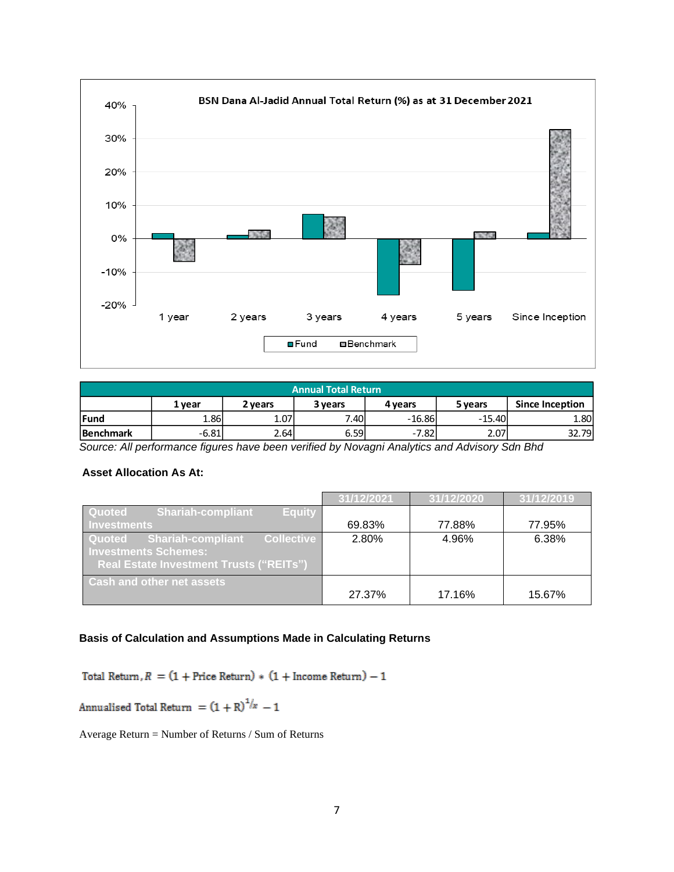

| <b>Annual Total Return</b>                                                   |         |      |      |          |          |       |
|------------------------------------------------------------------------------|---------|------|------|----------|----------|-------|
| <b>Since Inception</b><br>5 years<br>2 vears<br>3 years<br>1 vear<br>4 years |         |      |      |          |          |       |
| <b>Fund</b>                                                                  | 1.86    | 1.07 | 7.40 | $-16.86$ | $-15.40$ | 1.80  |
| <b>Benchmark</b>                                                             | $-6.81$ | 2.64 | 6.59 | $-7.82$  | 2.07     | 32.79 |

*Source: All performance figures have been verified by Novagni Analytics and Advisory Sdn Bhd*

### **Asset Allocation As At:**

|                                                                                                                                          | 31/12/2021 | 31/12/2020 | 31/12/2019 |
|------------------------------------------------------------------------------------------------------------------------------------------|------------|------------|------------|
| Quoted<br><b>Shariah-compliant</b><br><b>Equity</b><br><b>Investments</b>                                                                | 69.83%     | 77.88%     | 77.95%     |
| <b>Collective</b><br><b>Shariah-compliant</b><br>Quoted<br><b>Investments Schemes:</b><br><b>Real Estate Investment Trusts ("REITs")</b> | 2.80%      | 4.96%      | 6.38%      |
| <b>Cash and other net assets</b>                                                                                                         | 27.37%     | 17.16%     | 15.67%     |

### **Basis of Calculation and Assumptions Made in Calculating Returns**

Total Return,  $R = (1 + \text{Price Return}) * (1 + \text{ Income Return}) - 1$ 

Annualised Total Return =  $(1 + R)^{1/x} - 1$ 

Average Return = Number of Returns / Sum of Returns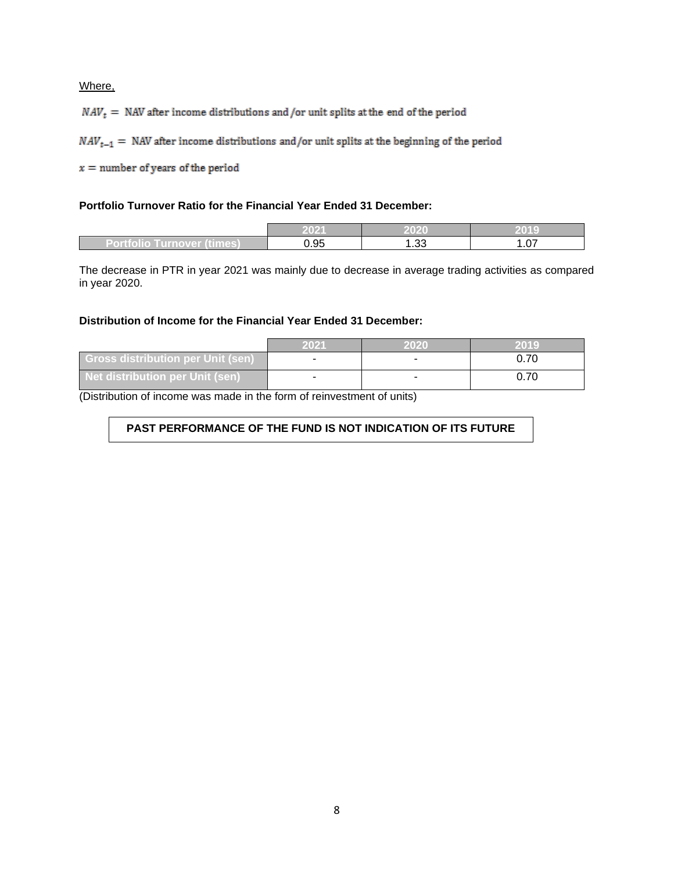Where,

 $NAV_t$  = NAV after income distributions and /or unit splits at the end of the period

 $NAV_{t-1}$  = NAV after income distributions and/or unit splits at the beginning of the period

 $x =$  number of years of the period

#### **Portfolio Turnover Ratio for the Financial Year Ended 31 December:**

|                                  | $202^t$ | 2020       | 2019<br>. III. |
|----------------------------------|---------|------------|----------------|
| (times)<br>Turnover (<br>rtiolit | ).95    | ົດດ<br>ده. | $\sim$<br>UZ   |

The decrease in PTR in year 2021 was mainly due to decrease in average trading activities as compared in year 2020.

#### **Distribution of Income for the Financial Year Ended 31 December:**

|                                          | 2021 | 2020 | 2019 |
|------------------------------------------|------|------|------|
| <b>Gross distribution per Unit (sen)</b> |      |      |      |
| <b>Net distribution per Unit (sen)</b>   |      |      |      |

(Distribution of income was made in the form of reinvestment of units)

### **PAST PERFORMANCE OF THE FUND IS NOT INDICATION OF ITS FUTURE PERFORMANCE**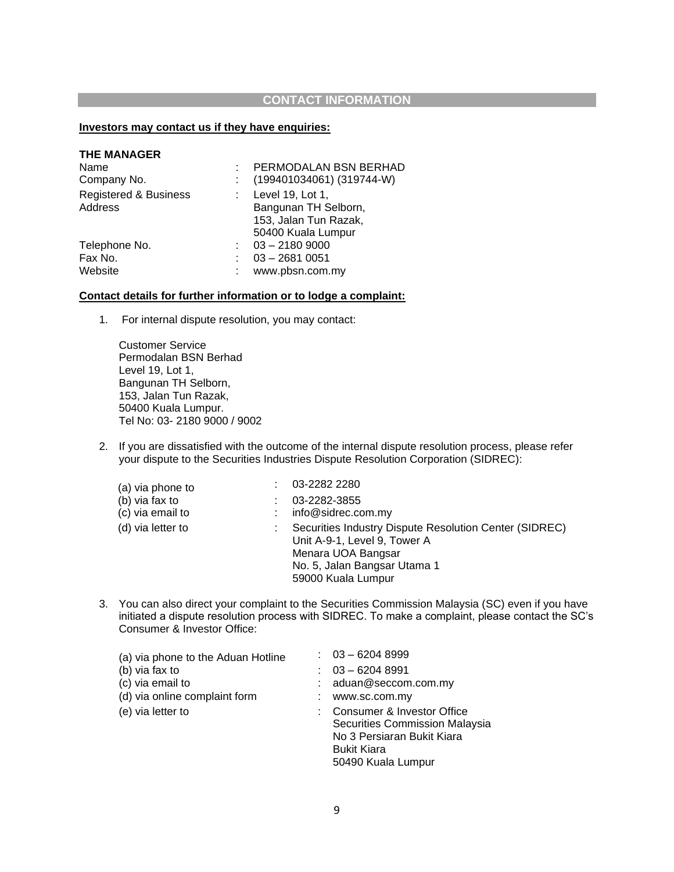### **CONTACT INFORMATION**

### **Investors may contact us if they have enquiries:**

| <b>THE MANAGER</b>    |                               |
|-----------------------|-------------------------------|
| Name                  | PERMODALAN BSN BERHAD         |
| Company No.           | $(199401034061)$ $(319744-W)$ |
| Registered & Business | Level 19, Lot 1,              |
| Address               | Bangunan TH Selborn,          |
|                       | 153, Jalan Tun Razak,         |
|                       | 50400 Kuala Lumpur            |
| Telephone No.         | $03 - 21809000$               |
| Fax No.               | $03 - 26810051$               |
| Website               | www.pbsn.com.my               |
|                       |                               |

#### **Contact details for further information or to lodge a complaint:**

1. For internal dispute resolution, you may contact:

Customer Service Permodalan BSN Berhad Level 19, Lot 1, Bangunan TH Selborn, 153, Jalan Tun Razak, 50400 Kuala Lumpur. Tel No: 03- 2180 9000 / 9002

2. If you are dissatisfied with the outcome of the internal dispute resolution process, please refer your dispute to the Securities Industries Dispute Resolution Corporation (SIDREC):

| (a) via phone to  | 03-2282 2280                                                                                                                                                       |
|-------------------|--------------------------------------------------------------------------------------------------------------------------------------------------------------------|
| (b) via fax to    | 03-2282-3855                                                                                                                                                       |
| (c) via email to  | info@sidrec.com.my                                                                                                                                                 |
| (d) via letter to | Securities Industry Dispute Resolution Center (SIDREC)<br>Unit A-9-1, Level 9, Tower A<br>Menara UOA Bangsar<br>No. 5, Jalan Bangsar Utama 1<br>59000 Kuala Lumpur |

3. You can also direct your complaint to the Securities Commission Malaysia (SC) even if you have initiated a dispute resolution process with SIDREC. To make a complaint, please contact the SC's Consumer & Investor Office:

| (a) via phone to the Aduan Hotline | $: 03 - 62048999$                                                                                                                      |
|------------------------------------|----------------------------------------------------------------------------------------------------------------------------------------|
| (b) via fax to                     | $: 03 - 62048991$                                                                                                                      |
| (c) via email to                   | aduan@seccom.com.my                                                                                                                    |
| (d) via online complaint form      | www.sc.com.my                                                                                                                          |
| (e) via letter to                  | Consumer & Investor Office<br>Securities Commission Malaysia<br>No 3 Persiaran Bukit Kiara<br><b>Bukit Kiara</b><br>50490 Kuala Lumpur |